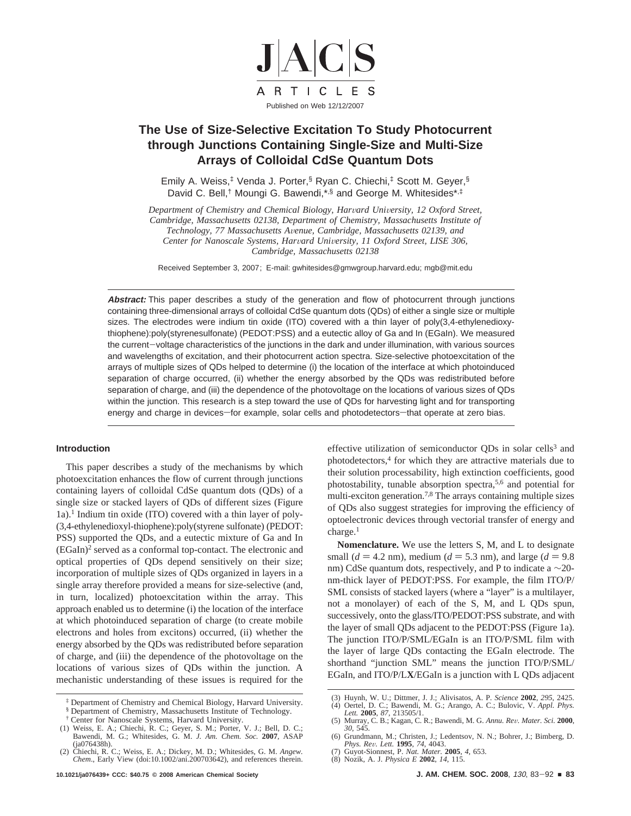

# **The Use of Size-Selective Excitation To Study Photocurrent through Junctions Containing Single-Size and Multi-Size Arrays of Colloidal CdSe Quantum Dots**

Emily A. Weiss,‡ Venda J. Porter,§ Ryan C. Chiechi,‡ Scott M. Geyer,§ David C. Bell,<sup>†</sup> Moungi G. Bawendi,\*,§ and George M. Whitesides\*,<sup>‡</sup>

*Department of Chemistry and Chemical Biology, Harvard University, 12 Oxford Street, Cambridge, Massachusetts 02138, Department of Chemistry, Massachusetts Institute of Technology, 77 Massachusetts A*V*enue, Cambridge, Massachusetts 02139, and Center for Nanoscale Systems, Har*V*ard Uni*V*ersity, 11 Oxford Street, LISE 306, Cambridge, Massachusetts 02138*

Received September 3, 2007; E-mail: gwhitesides@gmwgroup.harvard.edu; mgb@mit.edu

**Abstract:** This paper describes a study of the generation and flow of photocurrent through junctions containing three-dimensional arrays of colloidal CdSe quantum dots (QDs) of either a single size or multiple sizes. The electrodes were indium tin oxide (ITO) covered with a thin layer of poly(3,4-ethylenedioxythiophene):poly(styrenesulfonate) (PEDOT:PSS) and a eutectic alloy of Ga and In (EGaIn). We measured the current-voltage characteristics of the junctions in the dark and under illumination, with various sources and wavelengths of excitation, and their photocurrent action spectra. Size-selective photoexcitation of the arrays of multiple sizes of QDs helped to determine (i) the location of the interface at which photoinduced separation of charge occurred, (ii) whether the energy absorbed by the QDs was redistributed before separation of charge, and (iii) the dependence of the photovoltage on the locations of various sizes of QDs within the junction. This research is a step toward the use of QDs for harvesting light and for transporting energy and charge in devices-for example, solar cells and photodetectors-that operate at zero bias.

# **Introduction**

This paper describes a study of the mechanisms by which photoexcitation enhances the flow of current through junctions containing layers of colloidal CdSe quantum dots (QDs) of a single size or stacked layers of QDs of different sizes (Figure 1a).1 Indium tin oxide (ITO) covered with a thin layer of poly- (3,4-ethylenedioxyl-thiophene):poly(styrene sulfonate) (PEDOT: PSS) supported the QDs, and a eutectic mixture of Ga and In (EGaIn)2 served as a conformal top-contact. The electronic and optical properties of QDs depend sensitively on their size; incorporation of multiple sizes of QDs organized in layers in a single array therefore provided a means for size-selective (and, in turn, localized) photoexcitation within the array. This approach enabled us to determine (i) the location of the interface at which photoinduced separation of charge (to create mobile electrons and holes from excitons) occurred, (ii) whether the energy absorbed by the QDs was redistributed before separation of charge, and (iii) the dependence of the photovoltage on the locations of various sizes of QDs within the junction. A mechanistic understanding of these issues is required for the effective utilization of semiconductor QDs in solar cells<sup>3</sup> and photodetectors,4 for which they are attractive materials due to their solution processability, high extinction coefficients, good photostability, tunable absorption spectra,5,6 and potential for multi-exciton generation.7,8 The arrays containing multiple sizes of QDs also suggest strategies for improving the efficiency of optoelectronic devices through vectorial transfer of energy and  $charge.<sup>1</sup>$ 

**Nomenclature.** We use the letters S, M, and L to designate small ( $d = 4.2$  nm), medium ( $d = 5.3$  nm), and large ( $d = 9.8$ ) nm) CdSe quantum dots, respectively, and P to indicate a ∼20nm-thick layer of PEDOT:PSS. For example, the film ITO/P/ SML consists of stacked layers (where a "layer" is a multilayer, not a monolayer) of each of the S, M, and L QDs spun, successively, onto the glass/ITO/PEDOT:PSS substrate, and with the layer of small QDs adjacent to the PEDOT:PSS (Figure 1a). The junction ITO/P/SML/EGaIn is an ITO/P/SML film with the layer of large QDs contacting the EGaIn electrode. The shorthand "junction SML" means the junction ITO/P/SML/ EGaIn, and ITO/P/L**X**/EGaIn is a junction with L QDs adjacent

- -

<sup>‡</sup> Department of Chemistry and Chemical Biology, Harvard University. § Department of Chemistry, Massachusetts Institute of Technology.

<sup>†</sup> Center for Nanoscale Systems, Harvard University.

<sup>(1)</sup> Weiss, E. A.; Chiechi, R. C.; Geyer, S. M.; Porter, V. J.; Bell, D. C.; Bawendi, M. G.; Whitesides, G. M. *J. Am. Chem. Soc.* **2007**, ASAP (ja076438h).

<sup>(2)</sup> Chiechi, R. C.; Weiss, E. A.; Dickey, M. D.; Whitesides, G. M. *Angew. Chem*., Early View (doi:10.1002/ani.200703642), and references therein.

<sup>(3)</sup> Huynh, W. U.; Dittmer, J. J.; Alivisatos, A. P. *Science* **2002**, *295*, 2425.

<sup>(4)</sup> Oertel, D. C.; Bawendi, M. G.; Arango, A. C.; Bulovic, V. *Appl. Phys. Lett.* **2005**, *87*, 213505/1.

<sup>(5)</sup> Murray, C. B.; Kagan, C. R.; Bawendi, M. G. *Annu. Re*V*. Mater. Sci.* **<sup>2000</sup>**, *30*, 545.

<sup>(6)</sup> Grundmann, M.; Christen, J.; Ledentsov, N. N.; Bohrer, J.; Bimberg, D. *Phys. Re*V*. Lett.* **<sup>1995</sup>**, *<sup>74</sup>*, 4043. (7) Guyot-Sionnest, P. *Nat. Mater.* **2005**, *4*, 653. (8) Nozik, A. J. *Physica E* **2002**, *14*, 115.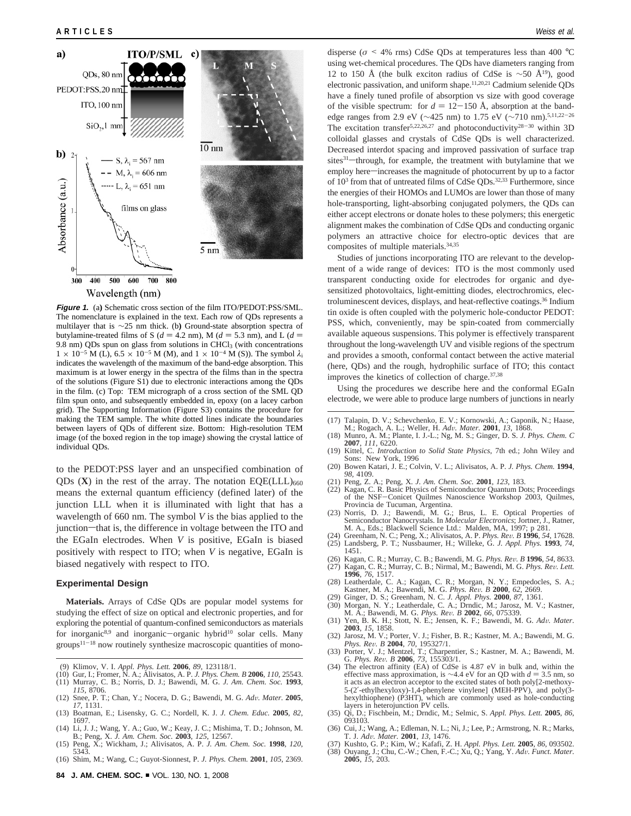

**Figure 1.** (a**)** Schematic cross section of the film ITO/PEDOT:PSS/SML. The nomenclature is explained in the text. Each row of QDs represents a multilayer that is ∼25 nm thick. (b**)** Ground-state absorption spectra of butylamine-treated films of S ( $d = 4.2$  nm), M ( $d = 5.3$  nm), and L ( $d =$ 9.8 nm) QDs spun on glass from solutions in CHCl<sub>3</sub> (with concentrations  $1 \times 10^{-5}$  M (L),  $6.5 \times 10^{-5}$  M (M), and  $1 \times 10^{-4}$  M (S)). The symbol  $\lambda_i$ indicates the wavelength of the maximum of the band-edge absorption. This maximum is at lower energy in the spectra of the films than in the spectra of the solutions (Figure S1) due to electronic interactions among the QDs in the film. (c) Top: TEM micrograph of a cross section of the SML QD film spun onto, and subsequently embedded in, epoxy (on a lacey carbon grid). The Supporting Information (Figure S3) contains the procedure for making the TEM sample. The white dotted lines indicate the boundaries between layers of QDs of different size. Bottom: High-resolution TEM image (of the boxed region in the top image) showing the crystal lattice of individual QDs.

to the PEDOT:PSS layer and an unspecified combination of QDs  $(X)$  in the rest of the array. The notation EQE(LLL)<sub>660</sub> means the external quantum efficiency (defined later) of the junction LLL when it is illuminated with light that has a wavelength of 660 nm. The symbol *V* is the bias applied to the junction—that is, the difference in voltage between the ITO and the EGaIn electrodes. When *V* is positive, EGaIn is biased positively with respect to ITO; when *V* is negative, EGaIn is biased negatively with respect to ITO.

#### **Experimental Design**

**Materials.** Arrays of CdSe QDs are popular model systems for studying the effect of size on optical and electronic properties, and for exploring the potential of quantum-confined semiconductors as materials for inorganic<sup>8,9</sup> and inorganic-organic hybrid<sup>10</sup> solar cells. Many  $groups<sup>11-18</sup>$  now routinely synthesize macroscopic quantities of mono-

- (9) Klimov, V. I. *Appl. Phys. Lett.* **2006**, *89*, 123118/1.
- (10) Gur, I.; Fromer, N. A.; Alivisatos, A. P. *J. Phys. Chem. B* **2006**, *110*, 25543. (11) Murray, C. B.; Norris, D. J.; Bawendi, M. G. *J. Am. Chem. Soc.* **1993**,
- *115*, 8706.
- (12) Snee, P. T.; Chan, Y.; Nocera, D. G.; Bawendi, M. G. *Ad*V*. Mater.* **<sup>2005</sup>**, *17*, 1131. (13) Boatman, E.; Lisensky, G. C.; Nordell, K. J. *J. Chem. Educ.* **2005**, *82*,
- 1697. (14) Li, J. J.; Wang, Y. A.; Guo, W.; Keay, J. C.; Mishima, T. D.; Johnson, M.
- B.; Peng, X. *J. Am. Chem. Soc.* **2003**, *125*, 12567. (15) Peng, X.; Wickham, J.; Alivisatos, A. P. *J. Am. Chem. Soc.* **<sup>1998</sup>**, *<sup>120</sup>*, 5343.
- (16) Shim, M.; Wang, C.; Guyot-Sionnest, P. *J. Phys. Chem.* **2001**, *105*, 2369.

disperse ( $\sigma$  < 4% rms) CdSe QDs at temperatures less than 400 °C using wet-chemical procedures. The QDs have diameters ranging from 12 to 150 Å (the bulk exciton radius of CdSe is ∼50 Å19), good electronic passivation, and uniform shape.11,20,21 Cadmium selenide QDs have a finely tuned profile of absorption vs size with good coverage of the visible spectrum: for  $d = 12{\text -}150$  Å, absorption at the bandedge ranges from 2.9 eV ( $\sim$ 425 nm) to 1.75 eV ( $\sim$ 710 nm).<sup>5,11,22-26</sup> The excitation transfer<sup>5,22,26,27</sup> and photoconductivity<sup>28-30</sup> within 3D colloidal glasses and crystals of CdSe QDs is well characterized. Decreased interdot spacing and improved passivation of surface trap sites $31$ —through, for example, the treatment with butylamine that we employ here—increases the magnitude of photocurrent by up to a factor of  $10^3$  from that of untreated films of CdSe QDs.<sup>32,33</sup> Furthermore, since the energies of their HOMOs and LUMOs are lower than those of many hole-transporting, light-absorbing conjugated polymers, the QDs can either accept electrons or donate holes to these polymers; this energetic alignment makes the combination of CdSe QDs and conducting organic polymers an attractive choice for electro-optic devices that are composites of multiple materials.34,35

Studies of junctions incorporating ITO are relevant to the development of a wide range of devices: ITO is the most commonly used transparent conducting oxide for electrodes for organic and dyesensitized photovoltaics, light-emitting diodes, electrochromics, electroluminescent devices, displays, and heat-reflective coatings.36 Indium tin oxide is often coupled with the polymeric hole-conductor PEDOT: PSS, which, conveniently, may be spin-coated from commercially available aqueous suspensions. This polymer is effectively transparent throughout the long-wavelength UV and visible regions of the spectrum and provides a smooth, conformal contact between the active material (here, QDs) and the rough, hydrophilic surface of ITO; this contact improves the kinetics of collection of charge.<sup>37,38</sup>

Using the procedures we describe here and the conformal EGaIn electrode, we were able to produce large numbers of junctions in nearly

- (17) Talapin, D. V.; Schevchenko, E. V.; Kornowski, A.; Gaponik, N.; Haase, M.<br>M.; Rogach, A. L.; Weller, H. *Adv. Mater.* 2001, *13*, 1868.<br>(18) Munro. A. M.: Plante. I. J.-L.: Ng. M. S.: Ginger. D. S. *J. Phys. Chem. C.*
- (18) Munro, A. M.; Plante, I. J.-L.; Ng, M. S.; Ginger, D. S. *J. Phys. Chem. C* **2007**, *111*, 6220.
- (19) Kittel, C. *Introduction to Solid State Physics*, 7th ed.; John Wiley and Sons: New York, 1996
- (20) Bowen Katari, J. E.; Colvin, V. L.; Alivisatos, A. P. *J. Phys. Chem.* **1994**, *98*, 4109.
- (21) Peng, Z. A.; Peng, X. *J. Am. Chem. Soc.* **2001**, *123*, 183.
- (22) Kagan, C. R. Basic Physics of Semiconductor Quantum Dots; Proceedings of the NSF-Conicet Quilmes Nanoscience Workshop 2003, Quilmes, Provincia de Tucuman, Argentina.
- (23) Norris, D. J.; Bawendi, M. G.; Brus, L. E. Optical Properties of Semiconductor Nanocrystals. In *Molecular Electronics*; Jortner, J., Ratner,
- M. A., Eds.; Blackwell Science Ltd.: Malden, MA, 1997; p 281.<br>(24) Greenham, N. C.; Peng, X.; Alivisatos, A. P. *Phys. Rev. B* 1996, 54, 17628.<br>(25) Landsberg. P. T.: Nussbaumer. H.: Willeke. G. *J. Appl. Phys.* 1993. 74.
- (25) Landsberg, P. T.; Nussbaumer, H.; Willeke, G. *J. Appl. Phys.* **1993**, *74*, 1451.
- (26) Kagan, C. R.; Murray, C. B.; Bawendi, M. G. *Phys. Re*V*. B* **<sup>1996</sup>**, *<sup>54</sup>*, 8633. (27) Kagan, C. R.; Murray, C. B.; Nirmal, M.; Bawendi, M. G. *Phys. Re*V*. Lett.* **1996**, *76*, 1517.
- (28) Leatherdale, C. A.; Kagan, C. R.; Morgan, N. Y.; Empedocles, S. A.;
- 
- Kastner, M. A.; Bawendi, M. G. Phys. Rev. B 2000, 62, 2669.<br>(29) Ginger, D. S.; Greenham, N. C. J. Appl. Phys. 2000, 87, 1361.<br>(30) Morgan, N. Y.; Leatherdale, C. A.; Drndic, M.; Jarosz, M. V.; Kastner, M. A.; Bawendi, M. (31) Yen, B. K. H.; Stott, N. E.; Jensen, K. F.; Bawendi, M. G. *Ad*V*. Mater.*
- **2003**, *15*, 1858.
- (32) Jarosz, M. V.; Porter, V. J.; Fisher, B. R.; Kastner, M. A.; Bawendi, M. G. *Phys. Re*V*. B* **<sup>2004</sup>**, *<sup>70</sup>*, 195327/1.
- (33) Porter, V. J.; Mentzel, T.; Charpentier, S.; Kastner, M. A.; Bawendi, M. G. Phys. Rev. B 2006, 73, 155303/1. G. *Phys. Rev. B* **2006**, 73, 155303/1.<br>(34) The electron affinity (EA) of CdSe is 4.87 eV in bulk and, within the
- effective mass approximation, is  $\sim$ 4.4 eV for an QD with *d* = 3.5 nm, so it acts as an electron acceptor to the excited states of both poly[2-methoxy-5-(2′-ethylhexyloxy)-1,4-phenylene vinylene] (MEH-PPV), and poly(3 hexylthiophene) (P3HT), which are commonly used as hole-conducting layers in heterojunction PV cells.
- (35) Qi, D.; Fischbein, M.; Drndic, M.; Selmic, S. *Appl. Phys. Lett.* **<sup>2005</sup>**, *<sup>86</sup>*, 093103.
- Cui, J.; Wang, A.; Edleman, N. L.; Ni, J.; Lee, P.; Armstrong, N. R.; Marks, T. J. Adv. Mater. 2001, 13, 1476.
- T. J. Adv. Mater. 2001, 13, 1476.<br>(37) Kushto, G. P.; Kim, W.; Kafafi, Z. H. Appl. Phys. Lett. 2005, 86, 093502.<br>(38) Ouyang, J.; Chu, C.-W.; Chen, F.-C.; Xu, Q.; Yang, Y. Adv. Funct. Mater.<br>2005, 15, 203.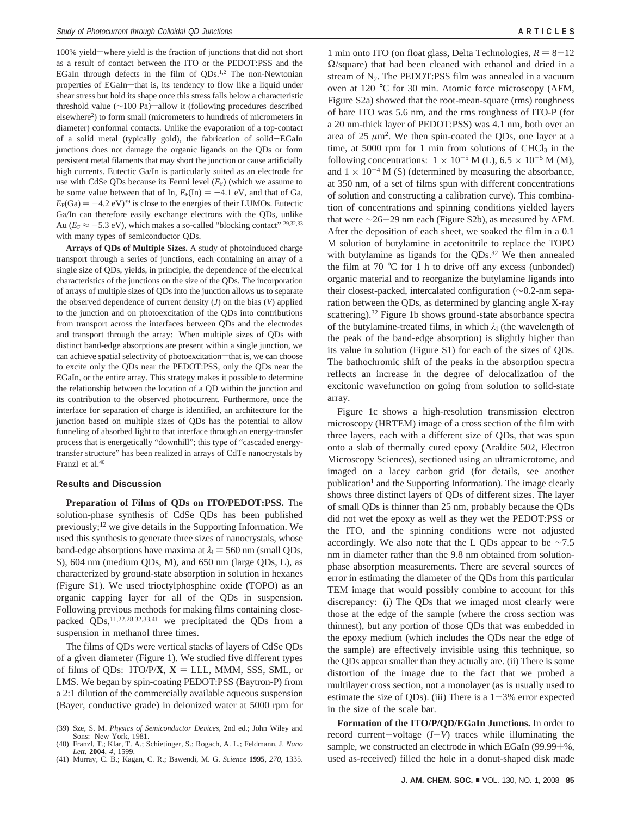100% yield-where yield is the fraction of junctions that did not short as a result of contact between the ITO or the PEDOT:PSS and the EGaIn through defects in the film of QDs.<sup>1,2</sup> The non-Newtonian properties of EGaIn-that is, its tendency to flow like a liquid under shear stress but hold its shape once this stress falls below a characteristic threshold value  $(\sim 100 \text{ Pa})$  allow it (following procedures described elsewhere2 ) to form small (micrometers to hundreds of micrometers in diameter) conformal contacts. Unlike the evaporation of a top-contact of a solid metal (typically gold), the fabrication of solid-EGaIn junctions does not damage the organic ligands on the QDs or form persistent metal filaments that may short the junction or cause artificially high currents. Eutectic Ga/In is particularly suited as an electrode for use with CdSe QDs because its Fermi level  $(E_F)$  (which we assume to be some value between that of In,  $E_F(\text{In}) = -4.1 \text{ eV}$ , and that of Ga,  $E_F$ (Ga) = -4.2 eV)<sup>39</sup> is close to the energies of their LUMOs. Eutectic Ga/In can therefore easily exchange electrons with the QDs, unlike Au ( $E_F \approx -5.3$  eV), which makes a so-called "blocking contact" <sup>29,32,33</sup> with many types of semiconductor QDs.

**Arrays of QDs of Multiple Sizes.** A study of photoinduced charge transport through a series of junctions, each containing an array of a single size of QDs, yields, in principle, the dependence of the electrical characteristics of the junctions on the size of the QDs. The incorporation of arrays of multiple sizes of QDs into the junction allows us to separate the observed dependence of current density (*J*) on the bias (*V*) applied to the junction and on photoexcitation of the QDs into contributions from transport across the interfaces between QDs and the electrodes and transport through the array: When multiple sizes of QDs with distinct band-edge absorptions are present within a single junction, we can achieve spatial selectivity of photoexcitation—that is, we can choose to excite only the QDs near the PEDOT:PSS, only the QDs near the EGaIn, or the entire array. This strategy makes it possible to determine the relationship between the location of a QD within the junction and its contribution to the observed photocurrent. Furthermore, once the interface for separation of charge is identified, an architecture for the junction based on multiple sizes of QDs has the potential to allow funneling of absorbed light to that interface through an energy-transfer process that is energetically "downhill"; this type of "cascaded energytransfer structure" has been realized in arrays of CdTe nanocrystals by Franzl et al.<sup>40</sup>

## **Results and Discussion**

**Preparation of Films of QDs on ITO/PEDOT:PSS.** The solution-phase synthesis of CdSe QDs has been published previously;<sup>12</sup> we give details in the Supporting Information. We used this synthesis to generate three sizes of nanocrystals, whose band-edge absorptions have maxima at  $\lambda_i = 560$  nm (small QDs, S), 604 nm (medium QDs, M), and 650 nm (large QDs, L), as characterized by ground-state absorption in solution in hexanes (Figure S1). We used trioctylphosphine oxide (TOPO) as an organic capping layer for all of the QDs in suspension. Following previous methods for making films containing closepacked QDs,11,22,28,32,33,41 we precipitated the QDs from a suspension in methanol three times.

The films of QDs were vertical stacks of layers of CdSe QDs of a given diameter (Figure 1). We studied five different types of films of QDs: ITO/P/ $X$ ,  $X = LLL$ , MMM, SSS, SML, or LMS. We began by spin-coating PEDOT:PSS (Baytron-P) from a 2:1 dilution of the commercially available aqueous suspension (Bayer, conductive grade) in deionized water at 5000 rpm for

1 min onto ITO (on float glass, Delta Technologies,  $R = 8-12$ Ω/square) that had been cleaned with ethanol and dried in a stream of  $N_2$ . The PEDOT:PSS film was annealed in a vacuum oven at 120 °C for 30 min. Atomic force microscopy (AFM, Figure S2a) showed that the root-mean-square (rms) roughness of bare ITO was 5.6 nm, and the rms roughness of ITO-P (for a 20 nm-thick layer of PEDOT:PSS) was 4.1 nm, both over an area of  $25 \mu m^2$ . We then spin-coated the QDs, one layer at a time, at 5000 rpm for 1 min from solutions of  $CHCl<sub>3</sub>$  in the following concentrations:  $1 \times 10^{-5}$  M (L),  $6.5 \times 10^{-5}$  M (M), and  $1 \times 10^{-4}$  M (S) (determined by measuring the absorbance, at 350 nm, of a set of films spun with different concentrations of solution and constructing a calibration curve). This combination of concentrations and spinning conditions yielded layers that were <sup>∼</sup>26-29 nm each (Figure S2b), as measured by AFM. After the deposition of each sheet, we soaked the film in a 0.1 M solution of butylamine in acetonitrile to replace the TOPO with butylamine as ligands for the  $QDs$ .<sup>32</sup> We then annealed the film at 70 °C for 1 h to drive off any excess (unbonded) organic material and to reorganize the butylamine ligands into their closest-packed, intercalated configuration (∼0.2-nm separation between the QDs, as determined by glancing angle X-ray scattering).<sup>32</sup> Figure 1b shows ground-state absorbance spectra of the butylamine-treated films, in which  $\lambda_i$  (the wavelength of the peak of the band-edge absorption) is slightly higher than its value in solution (Figure S1) for each of the sizes of QDs. The bathochromic shift of the peaks in the absorption spectra reflects an increase in the degree of delocalization of the excitonic wavefunction on going from solution to solid-state array.

Figure 1c shows a high-resolution transmission electron microscopy (HRTEM) image of a cross section of the film with three layers, each with a different size of QDs, that was spun onto a slab of thermally cured epoxy (Araldite 502, Electron Microscopy Sciences), sectioned using an ultramicrotome, and imaged on a lacey carbon grid (for details, see another publication<sup>1</sup> and the Supporting Information). The image clearly shows three distinct layers of QDs of different sizes. The layer of small QDs is thinner than 25 nm, probably because the QDs did not wet the epoxy as well as they wet the PEDOT:PSS or the ITO, and the spinning conditions were not adjusted accordingly. We also note that the L QDs appear to be  $\sim$ 7.5 nm in diameter rather than the 9.8 nm obtained from solutionphase absorption measurements. There are several sources of error in estimating the diameter of the QDs from this particular TEM image that would possibly combine to account for this discrepancy: (i) The QDs that we imaged most clearly were those at the edge of the sample (where the cross section was thinnest), but any portion of those QDs that was embedded in the epoxy medium (which includes the QDs near the edge of the sample) are effectively invisible using this technique, so the QDs appear smaller than they actually are. (ii) There is some distortion of the image due to the fact that we probed a multilayer cross section, not a monolayer (as is usually used to estimate the size of QDs). (iii) There is a  $1-3%$  error expected in the size of the scale bar.

**Formation of the ITO/P/QD/EGaIn Junctions.** In order to record current-voltage  $(I-V)$  traces while illuminating the sample, we constructed an electrode in which EGaIn (99.99+%, used as-received) filled the hole in a donut-shaped disk made

<sup>(39)</sup> Sze, S. M. Physics of Semiconductor Devices, 2nd ed.; John Wiley and Sons: New York, 1981.

<sup>(40)</sup> Franzl, T.; Klar, T. A.; Schietinger, S.; Rogach, A. L.; Feldmann, J. *Nano Lett.* **2004**, *4*, 1599. (41) Murray, C. B.; Kagan, C. R.; Bawendi, M. G. *Science* **1995**, *270*, 1335.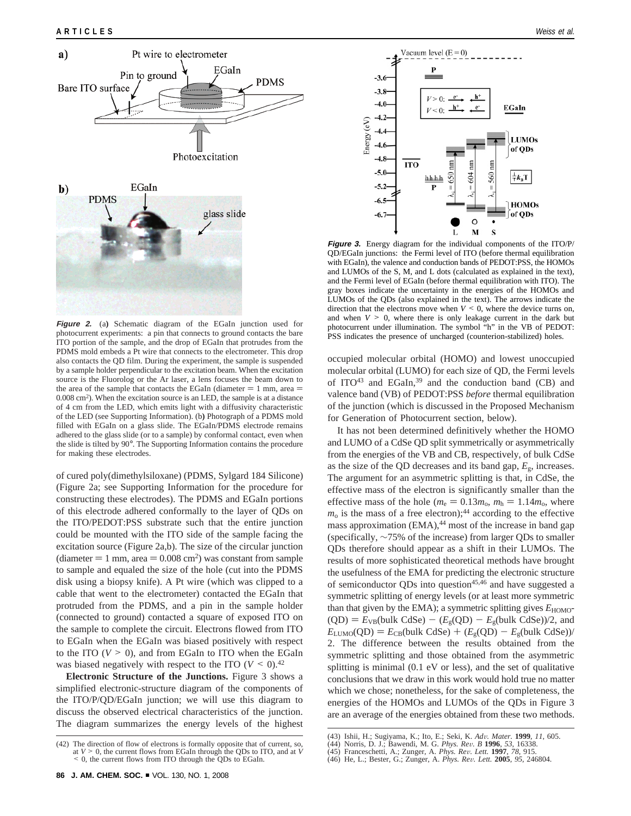

**Figure 2.** (a**)** Schematic diagram of the EGaIn junction used for photocurrent experiments: a pin that connects to ground contacts the bare ITO portion of the sample, and the drop of EGaIn that protrudes from the PDMS mold embeds a Pt wire that connects to the electrometer. This drop also contacts the QD film. During the experiment, the sample is suspended by a sample holder perpendicular to the excitation beam. When the excitation source is the Fluorolog or the Ar laser, a lens focuses the beam down to the area of the sample that contacts the EGaIn (diameter  $= 1$  mm, area  $=$ 0.008 cm2). When the excitation source is an LED, the sample is at a distance of 4 cm from the LED, which emits light with a diffusivity characteristic of the LED (see Supporting Information). (b**)** Photograph of a PDMS mold filled with EGaIn on a glass slide. The EGaIn/PDMS electrode remains adhered to the glass slide (or to a sample) by conformal contact, even when the slide is tilted by 90°. The Supporting Information contains the procedure for making these electrodes.

of cured poly(dimethylsiloxane) (PDMS, Sylgard 184 Silicone) (Figure 2a; see Supporting Information for the procedure for constructing these electrodes). The PDMS and EGaIn portions of this electrode adhered conformally to the layer of QDs on the ITO/PEDOT:PSS substrate such that the entire junction could be mounted with the ITO side of the sample facing the excitation source (Figure 2a,b). The size of the circular junction (diameter  $= 1$  mm, area  $= 0.008$  cm<sup>2</sup>) was constant from sample to sample and equaled the size of the hole (cut into the PDMS disk using a biopsy knife). A Pt wire (which was clipped to a cable that went to the electrometer) contacted the EGaIn that protruded from the PDMS, and a pin in the sample holder (connected to ground) contacted a square of exposed ITO on the sample to complete the circuit. Electrons flowed from ITO to EGaIn when the EGaIn was biased positively with respect to the ITO  $(V > 0)$ , and from EGaIn to ITO when the EGaIn was biased negatively with respect to the ITO  $(V \le 0)$ .<sup>42</sup>

**Electronic Structure of the Junctions.** Figure 3 shows a simplified electronic-structure diagram of the components of the ITO/P/QD/EGaIn junction; we will use this diagram to discuss the observed electrical characteristics of the junction. The diagram summarizes the energy levels of the highest



**Figure 3.** Energy diagram for the individual components of the ITO/P/ QD/EGaIn junctions: the Fermi level of ITO (before thermal equilibration with EGaIn), the valence and conduction bands of PEDOT:PSS, the HOMOs and LUMOs of the S, M, and L dots (calculated as explained in the text), and the Fermi level of EGaIn (before thermal equilibration with ITO). The gray boxes indicate the uncertainty in the energies of the HOMOs and LUMOs of the QDs (also explained in the text). The arrows indicate the direction that the electrons move when  $V \leq 0$ , where the device turns on, and when  $V > 0$ , where there is only leakage current in the dark but photocurrent under illumination. The symbol "h" in the VB of PEDOT: PSS indicates the presence of uncharged (counterion-stabilized) holes.

occupied molecular orbital (HOMO) and lowest unoccupied molecular orbital (LUMO) for each size of QD, the Fermi levels of  $ITO^{43}$  and  $EGaIn,^{39}$  and the conduction band (CB) and valence band (VB) of PEDOT:PSS *before* thermal equilibration of the junction (which is discussed in the Proposed Mechanism for Generation of Photocurrent section, below).

It has not been determined definitively whether the HOMO and LUMO of a CdSe QD split symmetrically or asymmetrically from the energies of the VB and CB, respectively, of bulk CdSe as the size of the QD decreases and its band gap,  $E_{\rm g}$ , increases. The argument for an asymmetric splitting is that, in CdSe, the effective mass of the electron is significantly smaller than the effective mass of the hole ( $m_e = 0.13m_o$ ,  $m_h = 1.14m_o$ , where  $m<sub>o</sub>$  is the mass of a free electron);<sup>44</sup> according to the effective mass approximation (EMA),<sup>44</sup> most of the increase in band gap (specifically, ∼75% of the increase) from larger QDs to smaller QDs therefore should appear as a shift in their LUMOs. The results of more sophisticated theoretical methods have brought the usefulness of the EMA for predicting the electronic structure of semiconductor QDs into question $45,46$  and have suggested a symmetric splitting of energy levels (or at least more symmetric than that given by the EMA); a symmetric splitting gives  $E_{\text{HOMO}}$ - $(QD) = E_{VB}(bulk CdSe) - (E_g(QD) - E_g(bulk CdSe))/2$ , and  $E_{\text{LUMO}}(\text{QD}) = E_{\text{CB}}(\text{bulk CdSe}) + (E_{\text{g}}(\text{QD}) - E_{\text{g}}(\text{bulk CdSe}))$ 2. The difference between the results obtained from the symmetric splitting and those obtained from the asymmetric splitting is minimal (0.1 eV or less), and the set of qualitative conclusions that we draw in this work would hold true no matter which we chose; nonetheless, for the sake of completeness, the energies of the HOMOs and LUMOs of the QDs in Figure 3 are an average of the energies obtained from these two methods.

<sup>(42)</sup> The direction of flow of electrons is formally opposite that of current, so, at  $V > 0$ , the current flows from EGaIn through the QDs to ITO, and at V  $<$  0, the current flows from ITO through the QDs to EGaIn.

<sup>(43)</sup> Ishii, H.; Sugiyama, K.; Ito, E.; Seki, K. *Ad*V*. Mater.* **<sup>1999</sup>**, *<sup>11</sup>*, 605.

<sup>(44)</sup> Norris, D. J.; Bawendi, M. G. *Phys. Re*V*. B* **<sup>1996</sup>**, *<sup>53</sup>*, 16338. (45) Franceschetti, A.; Zunger, A. *Phys. Re*V*. Lett.* **<sup>1997</sup>**, *<sup>78</sup>*, 915. (46) He, L.; Bester, G.; Zunger, A. *Phys. Re*V*. Lett.* **<sup>2005</sup>**, *<sup>95</sup>*, 246804.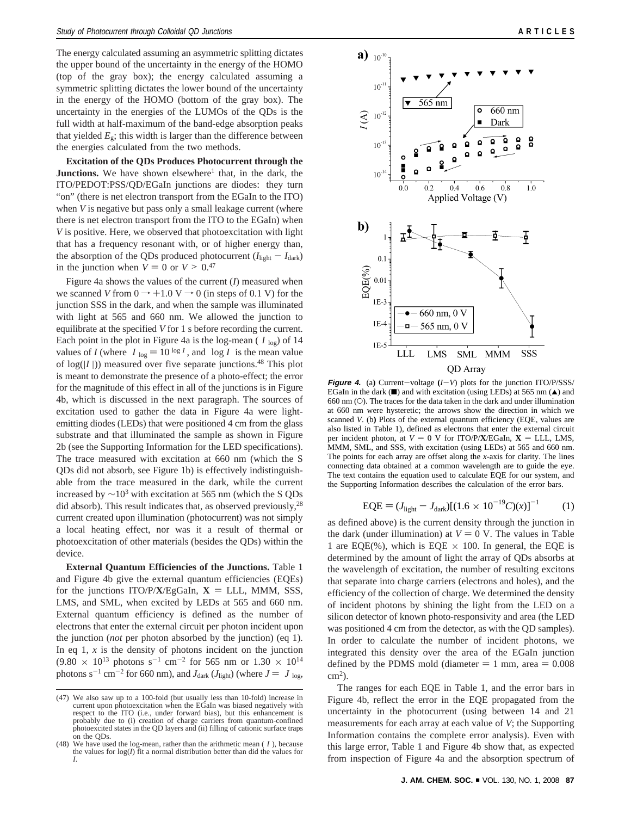The energy calculated assuming an asymmetric splitting dictates the upper bound of the uncertainty in the energy of the HOMO (top of the gray box); the energy calculated assuming a symmetric splitting dictates the lower bound of the uncertainty in the energy of the HOMO (bottom of the gray box). The uncertainty in the energies of the LUMOs of the QDs is the full width at half-maximum of the band-edge absorption peaks that yielded  $E_{g}$ ; this width is larger than the difference between the energies calculated from the two methods.

**Excitation of the QDs Produces Photocurrent through the Junctions.** We have shown elsewhere<sup>1</sup> that, in the dark, the ITO/PEDOT:PSS/QD/EGaIn junctions are diodes: they turn "on" (there is net electron transport from the EGaIn to the ITO) when *V* is negative but pass only a small leakage current (where there is net electron transport from the ITO to the EGaIn) when *V* is positive. Here, we observed that photoexcitation with light that has a frequency resonant with, or of higher energy than, the absorption of the QDs produced photocurrent  $(I_{\text{light}} - I_{\text{dark}})$ in the junction when  $V = 0$  or  $V > 0.47$ 

Figure 4a shows the values of the current (*I*) measured when we scanned *V* from  $0 \rightarrow +1.0$  V  $\rightarrow$  0 (in steps of 0.1 V) for the junction SSS in the dark, and when the sample was illuminated with light at 565 and 660 nm. We allowed the junction to equilibrate at the specified *V* for 1 s before recording the current. Each point in the plot in Figure 4a is the log-mean  $(\langle I \rangle_{\text{log}})$  of 14 values of *I* (where  $\langle I \rangle_{\text{log}} = 10^{\langle \text{log } I \rangle}$ , and  $\langle \text{log } I \rangle$  is the mean value of  $\text{log}(I|I|)$ ) measured over five separate junctions <sup>48</sup> This plot of  $log(|I|)$ ) measured over five separate junctions.<sup>48</sup> This plot is meant to demonstrate the presence of a photo-effect; the error for the magnitude of this effect in all of the junctions is in Figure 4b, which is discussed in the next paragraph. The sources of excitation used to gather the data in Figure 4a were lightemitting diodes (LEDs) that were positioned 4 cm from the glass substrate and that illuminated the sample as shown in Figure 2b (see the Supporting Information for the LED specifications). The trace measured with excitation at 660 nm (which the S QDs did not absorb, see Figure 1b) is effectively indistinguishable from the trace measured in the dark, while the current increased by  $\sim$ 10<sup>3</sup> with excitation at 565 nm (which the S QDs did absorb). This result indicates that, as observed previously,28 current created upon illumination (photocurrent) was not simply a local heating effect, nor was it a result of thermal or photoexcitation of other materials (besides the QDs) within the device.

**External Quantum Efficiencies of the Junctions.** Table 1 and Figure 4b give the external quantum efficiencies (EQEs) for the junctions ITO/P/ $X$ /EgGaIn,  $X = LLL$ , MMM, SSS, LMS, and SML, when excited by LEDs at 565 and 660 nm. External quantum efficiency is defined as the number of electrons that enter the external circuit per photon incident upon the junction (*not* per photon absorbed by the junction) (eq 1). In eq 1,  $x$  is the density of photons incident on the junction  $(9.80 \times 10^{13} \text{ photons s}^{-1} \text{ cm}^{-2} \text{ for } 565 \text{ nm or } 1.30 \times 10^{14} \text{ m}^{-1} \text{ cm}^{-1} \text{ for } 565 \text{ nm or } 1.30 \times 10^{14} \text{ m}^{-1} \text{ cm}^{-1} \text{ for } 565 \text{ nm or } 1.30 \times 10^{14} \text{ m}^{-1} \text{ cm}^{-1} \text{ for } 565 \text{ nm or } 1.30 \times 10^{14} \text{ m}^{-1} \text{ cm}^{-1} \text{ for } 565$ photons s<sup>-1</sup> cm<sup>-2</sup> for 660 nm), and *J*<sub>dark</sub> (*J*<sub>light</sub>) (where  $J = \langle J \rangle$ <sub>log</sub>,



**Figure 4.** (a) Current-voltage  $(I-V)$  plots for the junction ITO/P/SSS/ EGaIn in the dark ( $\blacksquare$ ) and with excitation (using LEDs) at 565 nm ( $\blacktriangle$ ) and 660 nm (O). The traces for the data taken in the dark and under illumination at 660 nm were hysteretic; the arrows show the direction in which we scanned *V*. (b**)** Plots of the external quantum efficiency (EQE, values are also listed in Table 1), defined as electrons that enter the external circuit per incident photon, at  $V = 0$  V for ITO/P/**X**/EGaIn, **X** = LLL, LMS, MMM, SML, and SSS, with excitation (using LEDs) at 565 and 660 nm. The points for each array are offset along the *x*-axis for clarity. The lines connecting data obtained at a common wavelength are to guide the eye. The text contains the equation used to calculate EQE for our system, and the Supporting Information describes the calculation of the error bars.

EQE = 
$$
(J_{\text{light}} - J_{\text{dark}})[(1.6 \times 10^{-19} C)(x)]^{-1}
$$
 (1)

as defined above) is the current density through the junction in the dark (under illumination) at  $V = 0$  V. The values in Table 1 are EQE(%), which is EQE  $\times$  100. In general, the EQE is determined by the amount of light the array of QDs absorbs at the wavelength of excitation, the number of resulting excitons that separate into charge carriers (electrons and holes), and the efficiency of the collection of charge. We determined the density of incident photons by shining the light from the LED on a silicon detector of known photo-responsivity and area (the LED was positioned 4 cm from the detector, as with the QD samples). In order to calculate the number of incident photons, we integrated this density over the area of the EGaIn junction defined by the PDMS mold (diameter  $= 1$  mm, area  $= 0.008$  $\text{cm}^2$ ).

The ranges for each EQE in Table 1, and the error bars in Figure 4b, reflect the error in the EQE propagated from the uncertainty in the photocurrent (using between 14 and 21 measurements for each array at each value of *V*; the Supporting Information contains the complete error analysis). Even with this large error, Table 1 and Figure 4b show that, as expected from inspection of Figure 4a and the absorption spectrum of

<sup>(47)</sup> We also saw up to a 100-fold (but usually less than 10-fold) increase in current upon photoexcitation when the EGaIn was biased negatively with respect to the ITO (i.e., under forward bias), but this enhancement is probably due to (i) creation of charge carriers from quantum-confined photoexcited states in the QD layers and (ii) filling of cationic surface traps on the QDs.

<sup>(48)</sup> We have used the log-mean, rather than the arithmetic mean  $(\langle I \rangle)$ , because the values for log(*I*) fit a normal distribution better than did the values for *I*.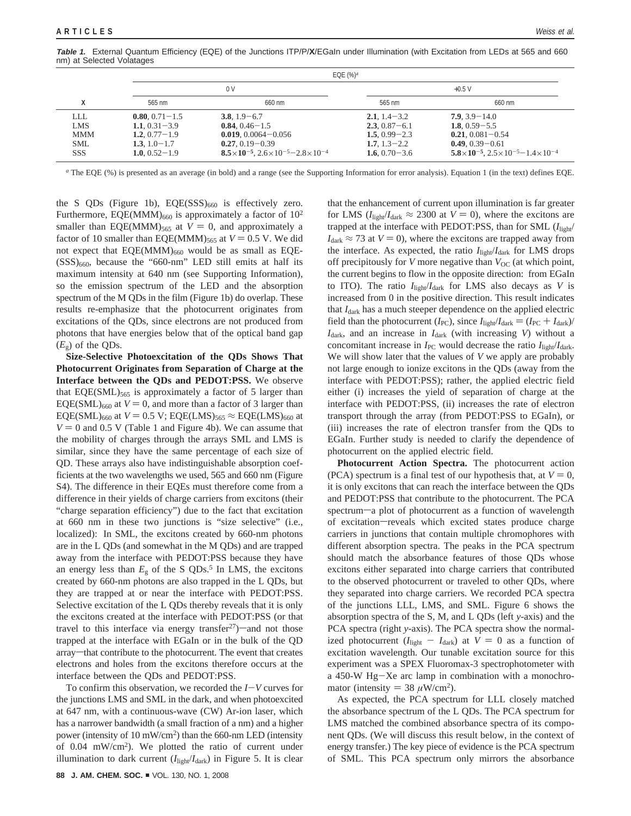**Table 1.** External Quantum Efficiency (EQE) of the Junctions ITP/P/**X**/EGaIn under Illumination (with Excitation from LEDs at 565 and 660 nm) at Selected Volatages

|            | EQE $(\%)^a$       |                                                              |                   |                                                              |
|------------|--------------------|--------------------------------------------------------------|-------------------|--------------------------------------------------------------|
|            | 0 <sup>V</sup>     |                                                              | $+0.5V$           |                                                              |
|            | 565 nm             | 660 nm                                                       | 565 nm            | 660 nm                                                       |
| LLL.       | $0.80, 0.71 - 1.5$ | $3.8, 1.9 - 6.7$                                             | $2.1.1.4 - 3.2$   | $7.9, 3.9 - 14.0$                                            |
| <b>LMS</b> | 1.1, $0.31 - 3.9$  | $0.84, 0.46 - 1.5$                                           | $2.3, 0.87 - 6.1$ | 1.8, $0.59 - 5.5$                                            |
| MMM        | 1.2, $0.77 - 1.9$  | $0.019, 0.0064 - 0.056$                                      | 1.5, $0.99 - 2.3$ | $0.21, 0.081 - 0.54$                                         |
| SML        | 1.3. $1.0-1.7$     | $0.27, 0.19 - 0.39$                                          | 1.7. $1.3 - 2.2$  | $0.49, 0.39 - 0.61$                                          |
| <b>SSS</b> | 1.0, $0.52 - 1.9$  | $8.5\times10^{-5}$ , $2.6\times10^{-5}$ - $2.8\times10^{-4}$ | 1.6, $0.70 - 3.6$ | $5.8\times10^{-5}$ , $2.5\times10^{-5}$ - $1.4\times10^{-4}$ |

*<sup>a</sup>* The EQE (%) is presented as an average (in bold) and a range (see the Supporting Information for error analysis). Equation 1 (in the text) defines EQE.

the S QDs (Figure 1b),  $EQE(SSS)_{660}$  is effectively zero. Furthermore, EQE(MMM) $_{660}$  is approximately a factor of  $10<sup>2</sup>$ smaller than EQE(MMM)<sub>565</sub> at  $V = 0$ , and approximately a factor of 10 smaller than EQE(MMM) $_{565}$  at  $V = 0.5$  V. We did not expect that  $EQE(MMM)_{660}$  would be as small as  $EQE (SSS)_{660}$ , because the "660-nm" LED still emits at half its maximum intensity at 640 nm (see Supporting Information), so the emission spectrum of the LED and the absorption spectrum of the M QDs in the film (Figure 1b) do overlap. These results re-emphasize that the photocurrent originates from excitations of the QDs, since electrons are not produced from photons that have energies below that of the optical band gap (*E*g) of the QDs.

**Size-Selective Photoexcitation of the QDs Shows That Photocurrent Originates from Separation of Charge at the Interface between the QDs and PEDOT:PSS.** We observe that  $EQE(SML)_{565}$  is approximately a factor of 5 larger than EQE(SML)<sub>660</sub> at  $V = 0$ , and more than a factor of 3 larger than EQE(SML)<sub>660</sub> at *V* = 0.5 V; EQE(LMS)<sub>565</sub>  $\approx$  EQE(LMS)<sub>660</sub> at  $V = 0$  and 0.5 V (Table 1 and Figure 4b). We can assume that the mobility of charges through the arrays SML and LMS is similar, since they have the same percentage of each size of QD. These arrays also have indistinguishable absorption coefficients at the two wavelengths we used, 565 and 660 nm (Figure S4). The difference in their EQEs must therefore come from a difference in their yields of charge carriers from excitons (their "charge separation efficiency") due to the fact that excitation at 660 nm in these two junctions is "size selective" (i.e., localized): In SML, the excitons created by 660-nm photons are in the L QDs (and somewhat in the M QDs) and are trapped away from the interface with PEDOT:PSS because they have an energy less than  $E_g$  of the S QDs.<sup>5</sup> In LMS, the excitons created by 660-nm photons are also trapped in the L QDs, but they are trapped at or near the interface with PEDOT:PSS. Selective excitation of the L QDs thereby reveals that it is only the excitons created at the interface with PEDOT:PSS (or that travel to this interface via energy transfer<sup>27</sup>)—and not those trapped at the interface with EGaIn or in the bulk of the QD array-that contribute to the photocurrent. The event that creates electrons and holes from the excitons therefore occurs at the interface between the QDs and PEDOT:PSS.

To confirm this observation, we recorded the *<sup>I</sup>*-*<sup>V</sup>* curves for the junctions LMS and SML in the dark, and when photoexcited at 647 nm, with a continuous-wave (CW) Ar-ion laser, which has a narrower bandwidth (a small fraction of a nm) and a higher power (intensity of 10 mW/cm<sup>2</sup>) than the 660-nm LED (intensity of 0.04 mW/cm2). We plotted the ratio of current under illumination to dark current  $(I_{\text{light}}/I_{\text{dark}})$  in Figure 5. It is clear

that the enhancement of current upon illumination is far greater for LMS ( $I_{\text{light}}/I_{\text{dark}} \approx 2300$  at  $V = 0$ ), where the excitons are trapped at the interface with PEDOT:PSS, than for SML (*I*light/  $I_{\text{dark}} \approx 73$  at  $V = 0$ ), where the excitons are trapped away from the interface. As expected, the ratio  $I_{\text{light}}/I_{\text{dark}}$  for LMS drops off precipitously for *V* more negative than  $V_{OC}$  (at which point, the current begins to flow in the opposite direction: from EGaIn to ITO). The ratio  $I_{\text{light}}/I_{\text{dark}}$  for LMS also decays as *V* is increased from 0 in the positive direction. This result indicates that  $I_{\text{dark}}$  has a much steeper dependence on the applied electric field than the photocurrent ( $I_{\text{PC}}$ ), since  $I_{\text{light}}/I_{\text{dark}} = (I_{\text{PC}} + I_{\text{dark}})$ / *I*dark, and an increase in *I*dark (with increasing *V*) without a concomitant increase in  $I_{\text{PC}}$  would decrease the ratio  $I_{\text{light}}/I_{\text{dark}}$ . We will show later that the values of *V* we apply are probably not large enough to ionize excitons in the QDs (away from the interface with PEDOT:PSS); rather, the applied electric field either (i) increases the yield of separation of charge at the interface with PEDOT:PSS, (ii) increases the rate of electron transport through the array (from PEDOT:PSS to EGaIn), or (iii) increases the rate of electron transfer from the QDs to EGaIn. Further study is needed to clarify the dependence of photocurrent on the applied electric field.

**Photocurrent Action Spectra.** The photocurrent action (PCA) spectrum is a final test of our hypothesis that, at  $V = 0$ , it is only excitons that can reach the interface between the QDs and PEDOT:PSS that contribute to the photocurrent. The PCA spectrum-a plot of photocurrent as a function of wavelength of excitation-reveals which excited states produce charge carriers in junctions that contain multiple chromophores with different absorption spectra. The peaks in the PCA spectrum should match the absorbance features of those QDs whose excitons either separated into charge carriers that contributed to the observed photocurrent or traveled to other QDs, where they separated into charge carriers. We recorded PCA spectra of the junctions LLL, LMS, and SML. Figure 6 shows the absorption spectra of the S, M, and L QDs (left *y*-axis) and the PCA spectra (right *y*-axis). The PCA spectra show the normalized photocurrent ( $I_{\text{light}} - I_{\text{dark}}$ ) at  $V = 0$  as a function of excitation wavelength. Our tunable excitation source for this experiment was a SPEX Fluoromax-3 spectrophotometer with a 450-W Hg-Xe arc lamp in combination with a monochromator (intensity  $= 38 \mu W/cm^2$ ).

As expected, the PCA spectrum for LLL closely matched the absorbance spectrum of the L QDs. The PCA spectrum for LMS matched the combined absorbance spectra of its component QDs. (We will discuss this result below, in the context of energy transfer.) The key piece of evidence is the PCA spectrum of SML. This PCA spectrum only mirrors the absorbance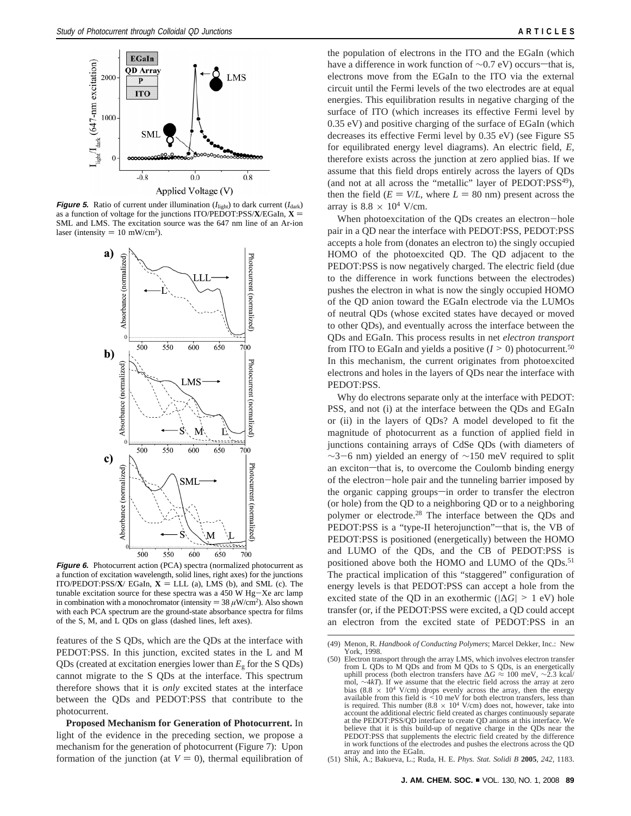

**Figure 5.** Ratio of current under illumination ( $I_{\text{light}}$ ) to dark current ( $I_{\text{dark}}$ ) as a function of voltage for the junctions ITO/PEDOT:PSS/**X**/EGaIn,  $X =$ SML and LMS. The excitation source was the 647 nm line of an Ar-ion laser (intensity  $= 10$  mW/cm<sup>2</sup>).



**Figure 6.** Photocurrent action (PCA) spectra (normalized photocurrent as a function of excitation wavelength, solid lines, right axes) for the junctions ITO/PEDOT:PSS/ $X$ / EGaIn,  $X = LLL$  (a), LMS (b), and SML (c). The tunable excitation source for these spectra was a  $450$  W Hg-Xe arc lamp in combination with a monochromator (intensity  $= 38 \mu W/cm^2$ ). Also shown with each PCA spectrum are the ground-state absorbance spectra for films of the S, M, and L QDs on glass (dashed lines, left axes).

features of the S QDs, which are the QDs at the interface with PEDOT:PSS. In this junction, excited states in the L and M QDs (created at excitation energies lower than *E*<sup>g</sup> for the S QDs) cannot migrate to the S QDs at the interface. This spectrum therefore shows that it is *only* excited states at the interface between the QDs and PEDOT:PSS that contribute to the photocurrent.

**Proposed Mechanism for Generation of Photocurrent.** In light of the evidence in the preceding section, we propose a mechanism for the generation of photocurrent (Figure 7): Upon formation of the junction (at  $V = 0$ ), thermal equilibration of

the population of electrons in the ITO and the EGaIn (which have a difference in work function of  $\sim$ 0.7 eV) occurs—that is, electrons move from the EGaIn to the ITO via the external circuit until the Fermi levels of the two electrodes are at equal energies. This equilibration results in negative charging of the surface of ITO (which increases its effective Fermi level by 0.35 eV) and positive charging of the surface of EGaIn (which decreases its effective Fermi level by 0.35 eV) (see Figure S5 for equilibrated energy level diagrams). An electric field, *E*, therefore exists across the junction at zero applied bias. If we assume that this field drops entirely across the layers of QDs (and not at all across the "metallic" layer of  $PEDOT:PSS<sup>49</sup>$ ), then the field  $(E = V/L)$ , where  $L = 80$  nm) present across the array is  $8.8 \times 10^4$  V/cm.

When photoexcitation of the QDs creates an electron-hole pair in a QD near the interface with PEDOT:PSS, PEDOT:PSS accepts a hole from (donates an electron to) the singly occupied HOMO of the photoexcited QD. The QD adjacent to the PEDOT:PSS is now negatively charged. The electric field (due to the difference in work functions between the electrodes) pushes the electron in what is now the singly occupied HOMO of the QD anion toward the EGaIn electrode via the LUMOs of neutral QDs (whose excited states have decayed or moved to other QDs), and eventually across the interface between the QDs and EGaIn. This process results in net *electron transport* from ITO to EGaIn and yields a positive  $(I > 0)$  photocurrent.<sup>50</sup> In this mechanism, the current originates from photoexcited electrons and holes in the layers of QDs near the interface with PEDOT:PSS.

Why do electrons separate only at the interface with PEDOT: PSS, and not (i) at the interface between the QDs and EGaIn or (ii) in the layers of QDs? A model developed to fit the magnitude of photocurrent as a function of applied field in junctions containing arrays of CdSe QDs (with diameters of  $\sim$ 3-6 nm) yielded an energy of  $\sim$ 150 meV required to split an exciton-that is, to overcome the Coulomb binding energy of the electron-hole pair and the tunneling barrier imposed by the organic capping groups-in order to transfer the electron (or hole) from the QD to a neighboring QD or to a neighboring polymer or electrode.28 The interface between the QDs and PEDOT:PSS is a "type-II heterojunction"-that is, the VB of PEDOT:PSS is positioned (energetically) between the HOMO and LUMO of the QDs, and the CB of PEDOT:PSS is positioned above both the HOMO and LUMO of the ODs.<sup>51</sup> The practical implication of this "staggered" configuration of energy levels is that PEDOT:PSS can accept a hole from the excited state of the QD in an exothermic ( $|\Delta G| \geq 1$  eV) hole transfer (or, if the PEDOT:PSS were excited, a QD could accept an electron from the excited state of PEDOT:PSS in an

<sup>(49)</sup> Menon, R. *Handbook of Conducting Polymers*; Marcel Dekker, Inc.: New York, 1998.

<sup>(50)</sup> Electron transport through the array LMS, which involves electron transfer from L QDs to M QDs and from M QDs to S QDs, is an energetically uphill process (both electron transfers have ∆*G* ≈ 100 meV, ∼2.3 kcal/ mol, ∼4*kT*). If we assume that the electric field across the array at zero bias  $(8.8 \times 10^4 \text{ V/cm})$  drops evenly across the array, then the energy available from this field is  $\leq 10$  meV for both electron transfers, less than is required. This number (8.8  $\times$  10<sup>4</sup> V/cm) does not, however, take into account the additional electric field created as charges continuously separate at the PEDOT:PSS/QD interface to create QD anions at this interface. We believe that it is this build-up of negative charge in the QDs near the PEDOT:PSS that supplements the electric field created by the difference in work functions of the electrodes and pushes the electrons across the QD array and into the EGaIn.

<sup>(51)</sup> Shik, A.; Bakueva, L.; Ruda, H. E. *Phys. Stat. Solidi B* **2005**, *242*, 1183.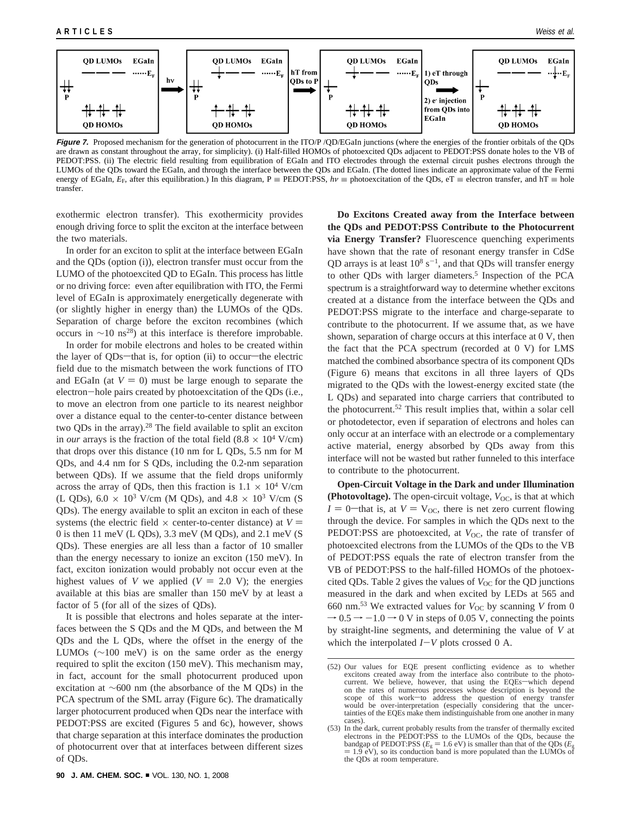

**Figure 7.** Proposed mechanism for the generation of photocurrent in the ITO/P /QD/EGaIn junctions (where the energies of the frontier orbitals of the QDs are drawn as constant throughout the array, for simplicity). (i) Half-filled HOMOs of photoexcited QDs adjacent to PEDOT:PSS donate holes to the VB of PEDOT:PSS. (ii) The electric field resulting from equilibration of EGaIn and ITO electrodes through the external circuit pushes electrons through the LUMOs of the QDs toward the EGaIn, and through the interface between the QDs and EGaIn. (The dotted lines indicate an approximate value of the Fermi energy of EGaIn,  $E_F$ , after this equilibration.) In this diagram, P ≡ PEDOT:PSS,  $h\nu$  ≡ photoexcitation of the QDs, eT ≡ electron transfer, and hT ≡ hole transfer.

exothermic electron transfer). This exothermicity provides enough driving force to split the exciton at the interface between the two materials.

In order for an exciton to split at the interface between EGaIn and the QDs (option (i)), electron transfer must occur from the LUMO of the photoexcited QD to EGaIn. This process has little or no driving force: even after equilibration with ITO, the Fermi level of EGaIn is approximately energetically degenerate with (or slightly higher in energy than) the LUMOs of the QDs. Separation of charge before the exciton recombines (which occurs in  $\sim$ 10 ns<sup>28</sup>) at this interface is therefore improbable.

In order for mobile electrons and holes to be created within the layer of QDs-that is, for option (ii) to occur-the electric field due to the mismatch between the work functions of ITO and EGaIn (at  $V = 0$ ) must be large enough to separate the electron-hole pairs created by photoexcitation of the QDs (i.e., to move an electron from one particle to its nearest neighbor over a distance equal to the center-to-center distance between two QDs in the array).<sup>28</sup> The field available to split an exciton in *our* arrays is the fraction of the total field (8.8  $\times$  10<sup>4</sup> V/cm) that drops over this distance (10 nm for L QDs, 5.5 nm for M QDs, and 4.4 nm for S QDs, including the 0.2-nm separation between QDs). If we assume that the field drops uniformly across the array of QDs, then this fraction is  $1.1 \times 10^4$  V/cm (L QDs),  $6.0 \times 10^3$  V/cm (M QDs), and  $4.8 \times 10^3$  V/cm (S QDs). The energy available to split an exciton in each of these systems (the electric field  $\times$  center-to-center distance) at  $V =$ 0 is then 11 meV (L QDs), 3.3 meV (M QDs), and 2.1 meV (S QDs). These energies are all less than a factor of 10 smaller than the energy necessary to ionize an exciton (150 meV). In fact, exciton ionization would probably not occur even at the highest values of *V* we applied  $(V = 2.0 \text{ V})$ ; the energies available at this bias are smaller than 150 meV by at least a factor of 5 (for all of the sizes of QDs).

It is possible that electrons and holes separate at the interfaces between the S QDs and the M QDs, and between the M QDs and the L QDs, where the offset in the energy of the LUMOs ( $\sim$ 100 meV) is on the same order as the energy required to split the exciton (150 meV). This mechanism may, in fact, account for the small photocurrent produced upon excitation at ∼600 nm (the absorbance of the M QDs) in the PCA spectrum of the SML array (Figure 6c). The dramatically larger photocurrent produced when QDs near the interface with PEDOT:PSS are excited (Figures 5 and 6c), however, shows that charge separation at this interface dominates the production of photocurrent over that at interfaces between different sizes of QDs.

**Do Excitons Created away from the Interface between the QDs and PEDOT:PSS Contribute to the Photocurrent via Energy Transfer?** Fluorescence quenching experiments have shown that the rate of resonant energy transfer in CdSe QD arrays is at least  $10^8$  s<sup>-1</sup>, and that QDs will transfer energy to other QDs with larger diameters.<sup>5</sup> Inspection of the PCA spectrum is a straightforward way to determine whether excitons created at a distance from the interface between the QDs and PEDOT:PSS migrate to the interface and charge-separate to contribute to the photocurrent. If we assume that, as we have shown, separation of charge occurs at this interface at 0 V, then the fact that the PCA spectrum (recorded at 0 V) for LMS matched the combined absorbance spectra of its component QDs (Figure 6) means that excitons in all three layers of QDs migrated to the QDs with the lowest-energy excited state (the L QDs) and separated into charge carriers that contributed to the photocurrent.52 This result implies that, within a solar cell or photodetector, even if separation of electrons and holes can only occur at an interface with an electrode or a complementary active material, energy absorbed by QDs away from this interface will not be wasted but rather funneled to this interface to contribute to the photocurrent.

**Open-Circuit Voltage in the Dark and under Illumination (Photovoltage).** The open-circuit voltage,  $V_{OC}$ , is that at which  $I = 0$ —that is, at  $V = V_{OC}$ , there is net zero current flowing through the device. For samples in which the QDs next to the PEDOT:PSS are photoexcited, at *V*<sub>OC</sub>, the rate of transfer of photoexcited electrons from the LUMOs of the QDs to the VB of PEDOT:PSS equals the rate of electron transfer from the VB of PEDOT:PSS to the half-filled HOMOs of the photoexcited QDs. Table 2 gives the values of  $V_{OC}$  for the QD junctions measured in the dark and when excited by LEDs at 565 and 660 nm.<sup>53</sup> We extracted values for  $V_{\text{OC}}$  by scanning *V* from 0  $\rightarrow$  0.5  $\rightarrow$  -1.0  $\rightarrow$  0 V in steps of 0.05 V, connecting the points by straight-line segments, and determining the value of *V* at which the interpolated  $I-V$  plots crossed 0 A.

<sup>(52)</sup> Our values for EQE present conflicting evidence as to whether excitons created away from the interface also contribute to the photocurrent. We believe, however, that using the EQEs-which depend on the rates of numerous processes whose description is beyond the scope of this work—to address the question of energy transfer would be over-interpretation (especially considering that the uncertainties of the EQEs make them indistinguishable from one another in many cases).

<sup>(53)</sup> In the dark, current probably results from the transfer of thermally excited electrons in the PEDOT:PSS to the LUMOs of the QDs, because the bandgap of PEDOT:PSS (*E<sub>g</sub>* = 1.9 eV), so its conduction band is more populated than that of the QDs (*Eg* ).  $= 1.9$  eV), so its conduction band is more populated than the LUMOs of the QDs at room temperature.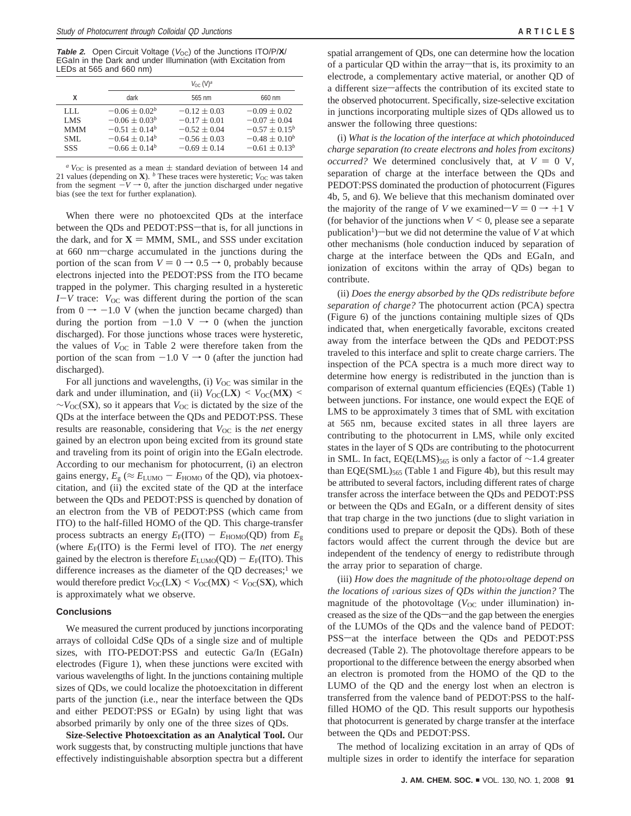**Table 2.** Open Circuit Voltage (V<sub>OC</sub>) of the Junctions ITO/P/X/ EGaIn in the Dark and under Illumination (with Excitation from LEDs at 565 and 660 nm)

|                                         |                                                                                      | $V_{\rm OC}$ (V) <sup>a</sup>                                                |                                                                                  |  |
|-----------------------------------------|--------------------------------------------------------------------------------------|------------------------------------------------------------------------------|----------------------------------------------------------------------------------|--|
| x                                       | dark                                                                                 | 565 nm                                                                       | 660 nm                                                                           |  |
| LLL.<br><b>LMS</b><br><b>MMM</b><br>SML | $-0.06 \pm 0.02^b$<br>$-0.06 \pm 0.03^b$<br>$-0.51 \pm 0.14^b$<br>$-0.64 \pm 0.14^b$ | $-0.12 \pm 0.03$<br>$-0.17 \pm 0.01$<br>$-0.52 \pm 0.04$<br>$-0.56 \pm 0.03$ | $-0.09 \pm 0.02$<br>$-0.07 \pm 0.04$<br>$-0.57 \pm 0.15^b$<br>$-0.48 \pm 0.10^b$ |  |
| <b>SSS</b>                              | $-0.66 \pm 0.14^b$                                                                   | $-0.69 \pm 0.14$                                                             | $-0.61 \pm 0.13^b$                                                               |  |

 $a$  *V*<sub>OC</sub> is presented as a mean  $\pm$  standard deviation of between 14 and 21 values (depending on **X**). *b* These traces were hysteretic;  $V_{OC}$  was taken from the segment  $-V \rightarrow 0$ , after the junction discharged under negative bias (see the text for further explanation).

When there were no photoexcited QDs at the interface between the QDs and PEDOT:PSS-that is, for all junctions in the dark, and for  $X = MMM$ , SML, and SSS under excitation at 660 nm-charge accumulated in the junctions during the portion of the scan from  $V = 0 \rightarrow 0.5 \rightarrow 0$ , probably because electrons injected into the PEDOT:PSS from the ITO became trapped in the polymer. This charging resulted in a hysteretic  $I-V$  trace:  $V_{OC}$  was different during the portion of the scan from  $0 \rightarrow -1.0$  V (when the junction became charged) than during the portion from  $-1.0 \text{ V} \rightarrow 0$  (when the junction discharged). For those junctions whose traces were hysteretic, the values of  $V_{OC}$  in Table 2 were therefore taken from the portion of the scan from  $-1.0 \text{ V} \rightarrow 0$  (after the junction had discharged).

For all junctions and wavelengths, (i)  $V_{OC}$  was similar in the dark and under illumination, and (ii)  $V_{\text{OC}}(LX) \leq V_{\text{OC}}(MX) \leq$ ∼*V*OC(S**X**), so it appears that *V*OC is dictated by the size of the QDs at the interface between the QDs and PEDOT:PSS. These results are reasonable, considering that  $V_{OC}$  is the *net* energy gained by an electron upon being excited from its ground state and traveling from its point of origin into the EGaIn electrode. According to our mechanism for photocurrent, (i) an electron gains energy,  $E_{\rm g}$  ( $\approx E_{\rm LUMO} - E_{\rm HOMO}$  of the QD), via photoexcitation, and (ii) the excited state of the QD at the interface between the QDs and PEDOT:PSS is quenched by donation of an electron from the VB of PEDOT:PSS (which came from ITO) to the half-filled HOMO of the QD. This charge-transfer process subtracts an energy  $E_F(\text{ITO}) - E_{\text{HOMO}}(\text{QD})$  from  $E_g$ (where  $E_F(TTO)$  is the Fermi level of ITO). The *net* energy gained by the electron is therefore  $E_{\text{LUMO}}(\text{QD}) - E_{\text{F}}(\text{ITO})$ . This difference increases as the diameter of the QD decreases;<sup>1</sup> we would therefore predict  $V_{\text{OC}}(L\mathbf{X}) \leq V_{\text{OC}}(M\mathbf{X}) \leq V_{\text{OC}}(S\mathbf{X})$ , which is approximately what we observe.

### **Conclusions**

We measured the current produced by junctions incorporating arrays of colloidal CdSe QDs of a single size and of multiple sizes, with ITO-PEDOT:PSS and eutectic Ga/In (EGaIn) electrodes (Figure 1), when these junctions were excited with various wavelengths of light. In the junctions containing multiple sizes of QDs, we could localize the photoexcitation in different parts of the junction (i.e., near the interface between the QDs and either PEDOT:PSS or EGaIn) by using light that was absorbed primarily by only one of the three sizes of QDs.

**Size-Selective Photoexcitation as an Analytical Tool.** Our work suggests that, by constructing multiple junctions that have effectively indistinguishable absorption spectra but a different

spatial arrangement of QDs, one can determine how the location of a particular QD within the array—that is, its proximity to an electrode, a complementary active material, or another QD of a different size-affects the contribution of its excited state to the observed photocurrent. Specifically, size-selective excitation in junctions incorporating multiple sizes of QDs allowed us to answer the following three questions:

(i) *What is the location of the interface at which photoinduced charge separation (to create electrons and holes from excitons) occurred?* We determined conclusively that, at  $V = 0$  V, separation of charge at the interface between the QDs and PEDOT:PSS dominated the production of photocurrent (Figures 4b, 5, and 6). We believe that this mechanism dominated over the majority of the range of *V* we examined  $-V = 0 \rightarrow +1$  V (for behavior of the junctions when  $V \leq 0$ , please see a separate publication<sup>1</sup>)—but we did not determine the value of *V* at which other mechanisms (hole conduction induced by separation of charge at the interface between the QDs and EGaIn, and ionization of excitons within the array of QDs) began to contribute.

(ii) *Does the energy absorbed by the QDs redistribute before separation of charge?* The photocurrent action (PCA) spectra (Figure 6) of the junctions containing multiple sizes of QDs indicated that, when energetically favorable, excitons created away from the interface between the QDs and PEDOT:PSS traveled to this interface and split to create charge carriers. The inspection of the PCA spectra is a much more direct way to determine how energy is redistributed in the junction than is comparison of external quantum efficiencies (EQEs) (Table 1) between junctions. For instance, one would expect the EQE of LMS to be approximately 3 times that of SML with excitation at 565 nm, because excited states in all three layers are contributing to the photocurrent in LMS, while only excited states in the layer of S QDs are contributing to the photocurrent in SML. In fact, EQE(LMS)<sub>565</sub> is only a factor of ∼1.4 greater than  $EQE(SML)_{565}$  (Table 1 and Figure 4b), but this result may be attributed to several factors, including different rates of charge transfer across the interface between the QDs and PEDOT:PSS or between the QDs and EGaIn, or a different density of sites that trap charge in the two junctions (due to slight variation in conditions used to prepare or deposit the QDs). Both of these factors would affect the current through the device but are independent of the tendency of energy to redistribute through the array prior to separation of charge.

(iii) *How does the magnitude of the photovoltage depend on the locations of* V*arious sizes of QDs within the junction?* The magnitude of the photovoltage  $(V_{OC}$  under illumination) increased as the size of the  $QDs$ —and the gap between the energies of the LUMOs of the QDs and the valence band of PEDOT: PSS-at the interface between the ODs and PEDOT:PSS decreased (Table 2). The photovoltage therefore appears to be proportional to the difference between the energy absorbed when an electron is promoted from the HOMO of the QD to the LUMO of the QD and the energy lost when an electron is transferred from the valence band of PEDOT:PSS to the halffilled HOMO of the QD. This result supports our hypothesis that photocurrent is generated by charge transfer at the interface between the QDs and PEDOT:PSS.

The method of localizing excitation in an array of QDs of multiple sizes in order to identify the interface for separation